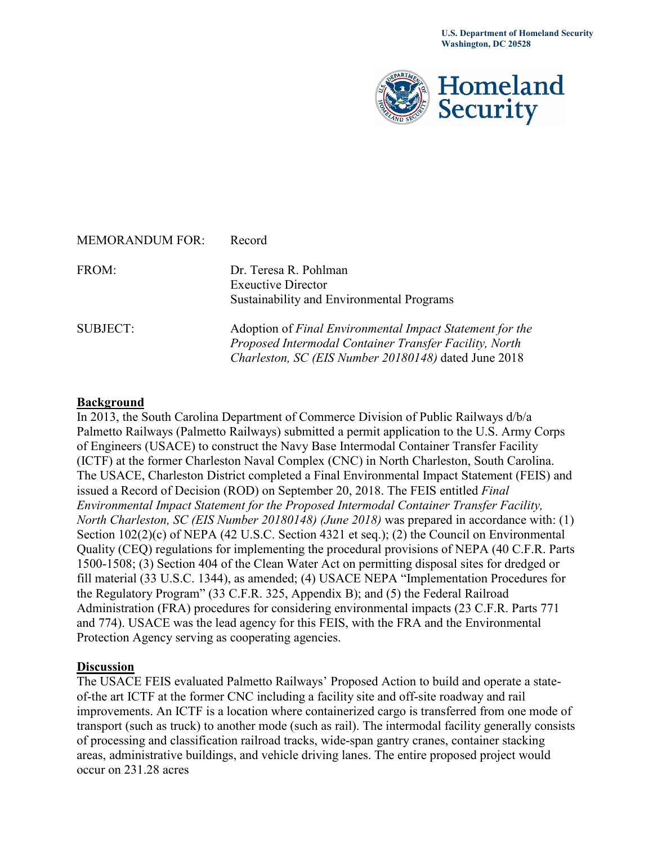

| <b>MEMORANDUM FOR:</b> | Record                                                   |
|------------------------|----------------------------------------------------------|
| FROM:                  | Dr. Teresa R. Pohlman                                    |
|                        | <b>Exeuctive Director</b>                                |
|                        | Sustainability and Environmental Programs                |
| <b>SUBJECT:</b>        | Adoption of Final Environmental Impact Statement for the |
|                        | Proposed Intermodal Container Transfer Facility, North   |
|                        | Charleston, SC (EIS Number 20180148) dated June 2018     |

## **Background**

In 2013, the South Carolina Department of Commerce Division of Public Railways d/b/a Palmetto Railways (Palmetto Railways) submitted a permit application to the U.S. Army Corps of Engineers (USACE) to construct the Navy Base Intermodal Container Transfer Facility (ICTF) at the former Charleston Naval Complex (CNC) in North Charleston, South Carolina. The USACE, Charleston District completed a Final Environmental Impact Statement (FEIS) and issued a Record of Decision (ROD) on September 20, 2018. The FEIS entitled *Final Environmental Impact Statement for the Proposed Intermodal Container Transfer Facility, North Charleston, SC (EIS Number 20180148) (June 2018)* was prepared in accordance with: (1) Section  $102(2)(c)$  of NEPA (42 U.S.C. Section 4321 et seq.); (2) the Council on Environmental Quality (CEQ) regulations for implementing the procedural provisions of NEPA (40 C.F.R. Parts 1500-1508; (3) Section 404 of the Clean Water Act on permitting disposal sites for dredged or fill material (33 U.S.C. 1344), as amended; (4) USACE NEPA "Implementation Procedures for the Regulatory Program" (33 C.F.R. 325, Appendix B); and (5) the Federal Railroad Administration (FRA) procedures for considering environmental impacts (23 C.F.R. Parts 771 and 774). USACE was the lead agency for this FEIS, with the FRA and the Environmental Protection Agency serving as cooperating agencies.

## **Discussion**

The USACE FEIS evaluated Palmetto Railways' Proposed Action to build and operate a stateof-the art ICTF at the former CNC including a facility site and off-site roadway and rail improvements. An ICTF is a location where containerized cargo is transferred from one mode of transport (such as truck) to another mode (such as rail). The intermodal facility generally consists of processing and classification railroad tracks, wide-span gantry cranes, container stacking areas, administrative buildings, and vehicle driving lanes. The entire proposed project would occur on 231.28 acres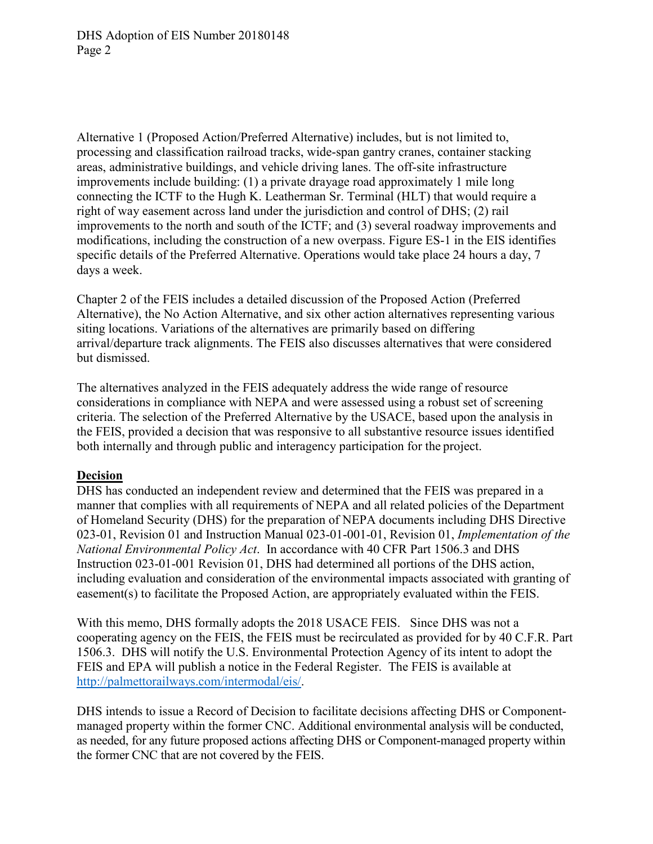DHS Adoption of EIS Number 20180148 Page 2

Alternative 1 (Proposed Action/Preferred Alternative) includes, but is not limited to, processing and classification railroad tracks, wide-span gantry cranes, container stacking areas, administrative buildings, and vehicle driving lanes. The off-site infrastructure improvements include building: (1) a private drayage road approximately 1 mile long connecting the ICTF to the Hugh K. Leatherman Sr. Terminal (HLT) that would require a right of way easement across land under the jurisdiction and control of DHS; (2) rail improvements to the north and south of the ICTF; and (3) several roadway improvements and modifications, including the construction of a new overpass. Figure ES-1 in the EIS identifies specific details of the Preferred Alternative. Operations would take place 24 hours a day, 7 days a week.

Chapter 2 of the FEIS includes a detailed discussion of the Proposed Action (Preferred Alternative), the No Action Alternative, and six other action alternatives representing various siting locations. Variations of the alternatives are primarily based on differing arrival/departure track alignments. The FEIS also discusses alternatives that were considered but dismissed.

The alternatives analyzed in the FEIS adequately address the wide range of resource considerations in compliance with NEPA and were assessed using a robust set of screening criteria. The selection of the Preferred Alternative by the USACE, based upon the analysis in the FEIS, provided a decision that was responsive to all substantive resource issues identified both internally and through public and interagency participation for the project.

## **Decision**

DHS has conducted an independent review and determined that the FEIS was prepared in a manner that complies with all requirements of NEPA and all related policies of the Department of Homeland Security (DHS) for the preparation of NEPA documents including DHS Directive 023-01, Revision 01 and Instruction Manual 023-01-001-01, Revision 01, *Implementation of the National Environmental Policy Act*. In accordance with 40 CFR Part 1506.3 and DHS Instruction 023-01-001 Revision 01, DHS had determined all portions of the DHS action, including evaluation and consideration of the environmental impacts associated with granting of easement(s) to facilitate the Proposed Action, are appropriately evaluated within the FEIS.

With this memo, DHS formally adopts the 2018 USACE FEIS. Since DHS was not a cooperating agency on the FEIS, the FEIS must be recirculated as provided for by 40 C.F.R. Part 1506.3. DHS will notify the U.S. Environmental Protection Agency of its intent to adopt the FEIS and EPA will publish a notice in the Federal Register. The FEIS is available at [http://palmettorailways.com/intermodal/eis/.](http://palmettorailways.com/intermodal/eis/)

DHS intends to issue a Record of Decision to facilitate decisions affecting DHS or Componentmanaged property within the former CNC. Additional environmental analysis will be conducted, as needed, for any future proposed actions affecting DHS or Component-managed property within the former CNC that are not covered by the FEIS.